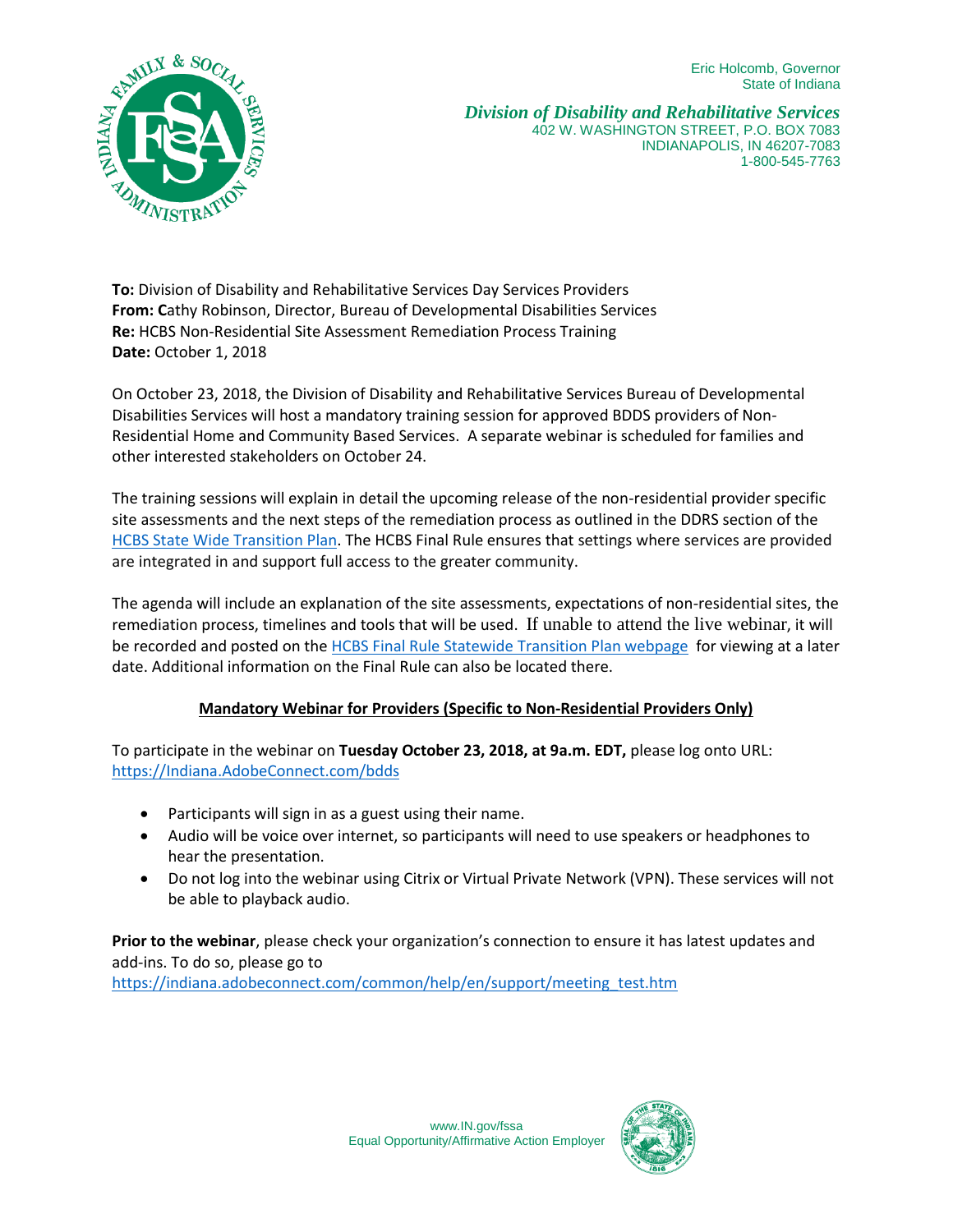Eric Holcomb, Governor State of Indiana



*Division of Disability and Rehabilitative Services* 402 W. WASHINGTON STREET, P.O. BOX 7083 INDIANAPOLIS, IN 46207-7083 1-800-545-7763

**To:** Division of Disability and Rehabilitative Services Day Services Providers **From: C**athy Robinson, Director, Bureau of Developmental Disabilities Services **Re:** HCBS Non-Residential Site Assessment Remediation Process Training **Date:** October 1, 2018

On October 23, 2018, the Division of Disability and Rehabilitative Services Bureau of Developmental Disabilities Services will host a mandatory training session for approved BDDS providers of Non-Residential Home and Community Based Services. A separate webinar is scheduled for families and other interested stakeholders on October 24.

The training sessions will explain in detail the upcoming release of the non-residential provider specific site assessments and the next steps of the remediation process as outlined in the DDRS section of the [HCBS State Wide Transition Plan.](https://www.in.gov/fssa/files/2018.08.22%20IN%20FSSA%20HCBS%20STP%20Version%208%20clean.pdf) The HCBS Final Rule ensures that settings where services are provided are integrated in and support full access to the greater community.

The agenda will include an explanation of the site assessments, expectations of non-residential sites, the remediation process, timelines and tools that will be used. If unable to attend the live webinar, it will be recorded and posted on the [HCBS Final Rule Statewide Transition Plan webpage](https://www.in.gov/fssa/ddrs/4917.htm) for viewing at a later date. Additional information on the Final Rule can also be located there.

## **Mandatory Webinar for Providers (Specific to Non-Residential Providers Only)**

To participate in the webinar on **Tuesday October 23, 2018, at 9a.m. EDT,** please log onto URL: [https://Indiana.AdobeConnect.com/bdds](https://indiana.adobeconnect.com/bdds)

- Participants will sign in as a guest using their name.
- Audio will be voice over internet, so participants will need to use speakers or headphones to hear the presentation.
- Do not log into the webinar using Citrix or Virtual Private Network (VPN). These services will not be able to playback audio.

**Prior to the webinar**, please check your organization's connection to ensure it has latest updates and add-ins. To do so, please go to

[https://indiana.adobeconnect.com/common/help/en/support/meeting\\_test.htm](https://indiana.adobeconnect.com/common/help/en/support/meeting_test.htm)